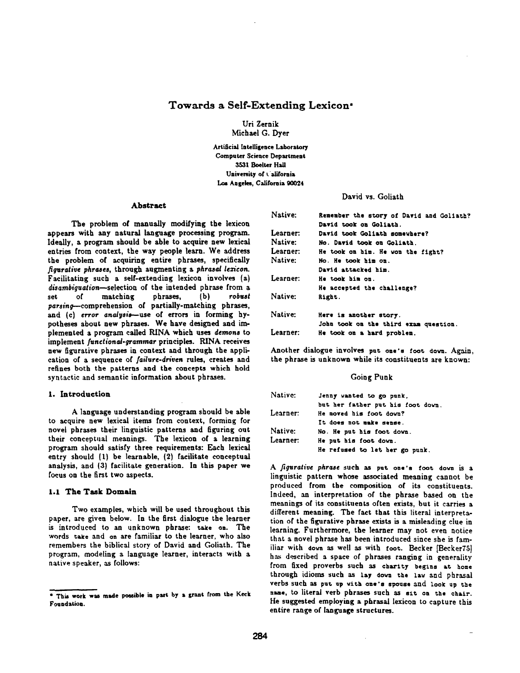# **Towards a Self-Extending Lexicon\***

Uri Zernik Michael G. Dyer

Artificial Intelligence Laboratory Computer Science Department 3531 Boelter Hall University of California Los Angeles, California 90024

### Abstract

The problem of manually modifying the lexicon appears with any natural language processing program. Ideally, a program should be able to acquire new lexieal entries from context, the way people learn. We address the problem of acquiring entire phrases, specifically *figurative phrases, through augmenting a phrasal lezicon.* Facilitating such a self-extending lexicon involves (a) *disambiguation~se|ection* of the intended phrase from a set of matching phrases, (b) *robust parsin~-comprehension* of partially-matching phrases, and (c) error analysis-use of errors in forming hypotheses about new phrases. We have designed and implemented a program called RINA which uses *demons* to implement functional-grammar principles. RINA receives new figurative phrases in context and through the application of a sequence of *failure-driven* rules, creates and refines both the patterns and the concepts which hold syntactic and semantic information about phrases.

#### 1. Introduction

A language understanding program should be able to acquire new lexical items from context, forming for novel phrases their linguistic patterns and figuring out their conceptual meanings. The lexicon of a learning program should satisfy three requirements: Each lexical entry should (1) be learnable, (2) facilitate conceptual analysis, and (3) facilitate generation. In this paper we focus on the first two aspects.

## 1.1 The Task Domain

Two examples, which will be used throughout this paper, are given below. In the first dialogue the learner is introduced to an unknown phrase: take on. The words take and on are familiar to the learner, who also remembers the biblical story of David and Goliath. The program, modeling a language learner, interacts with a native speaker, as follows:

# David vs. Goliath

| Native:         | Remember the story of David and Goliath? |
|-----------------|------------------------------------------|
|                 | David took on Goliath.                   |
| <b>Learner:</b> | David took Goliath somewhere?            |
| Native:         | No. David took on Goliath.               |
| Learner:        | He took on him. He won the fight?        |
| Native:         | No. He took him on.                      |
|                 | David attacked him.                      |
| Learner:        | He took him on.                          |
|                 | He accepted the challenge?               |
| Native:         | Right.                                   |
| Native:         | Here is another story.                   |
|                 | John took on the third exam question.    |
| Learner:        | He took on a hard problem.               |

Another dialogue involves put one's foot down. Again, the phrase is unknown while its constituents are known:

#### Going Punk

| Native:         | Jenny wanted to go punk.          |
|-----------------|-----------------------------------|
|                 | but her father put his foot down. |
| <b>Learner:</b> | He moved his foot down?           |
|                 | It does not make sense.           |
| Native:         | No. He put his foot down.         |
| Learner:        | He put his foot down.             |
|                 | He refused to let her go punk.    |

*A figurative phrase* such as put one's fooc down is a linguistic pattern whose associated meaning cannot be produced from the composition of its constituents. Indeed, an interpretation of the phrase based on the meanings of its constituents often exists, but it carries a different meaning. The fact that this literal interpretation of the figurative phrase exists is a misleading clue in learning. Furthermore, the learner may not even notice that a novel phrase has been introduced since she is familiar with down as well as with foot. Becker [Becker75] has described a space of phrases ranging in generality from fixed proverbs such as charity begins at home through idioms such as lay down the law and phrasal verbs such as put up with one's spouse and look up the name, to literal verb phrases such as sit on the chair. He suggested employing a phrasal lexicon to capture this entire range of language structures.

<sup>\*</sup> This work was made possible in part by a grant from the Keck Foundation.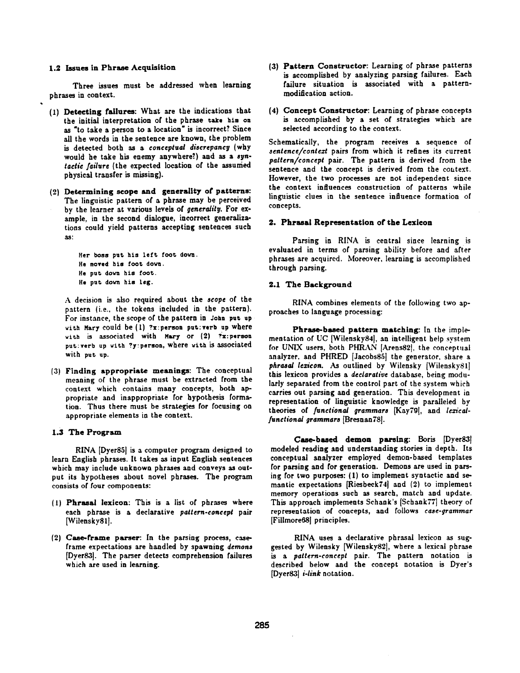## 1.2 Issues in Phrase Acquisition

Three issues must be addressed when learning phrases in context.

- (I) Detecting failures: What are the indications that the initial interpretation of the phrase take him **on**  as "to take a person to a location" is incorrect? Since all the words in the sentence are known, the problem is detected both as a *conceptual discrepancy* (why would he take his enemy anywhere?) and as a syn*tactic failure* (the expected location of the assunied physical transfer is missing).
- (2) Determining scope and generality of patterns: The linguistic pattern of a phrase may be perceived by the learner at various levels of *generality*. For example, in the second dialogue, incorrect generalizations could yield patterns accepting sentences such as:

Her boss put his left foot down. He moved his foot dora. He put down his foot. He put dovn his leg.

A decision is also required about the *scope of* the pattern (i.e., the tokens included in the pattern). For instance, the scope of the pattern in John put up with Mary could be (I) ?x:persoa put:verb up where with is associated with Mary or (2) ?x:person put: verb up with ?y: person, where with is associated with put up.

(3) Finding appropriate meanings: The conceptual meaning of the phrase must be extracted from the context which contains many concepts, both appropriate and inappropriate for hypothesis formation. Thus there must be strategies for focusing on appropriate elements in the context.

#### 1.3 The Program

RINA [Dyer85] is a computer program designed to learn English phrases. It takes as input English sentences which may include unknown phrases and conveys as output its hypotheses about novel phrases. The program consists of four components:

- (l) Phrasal lexicon: This is a list of phrases where each phrase is a declarative *pattern-concept* pair [WilenskySl].
- **(2) Case-frame parser:** In the parsing process, caseframe expectations are handled by spawning *demons*  [Dyer83]. The parser detects comprehension failures which are used in learning.
- **(3) Pattern Constructor:** Learning of phrase patterns is accomplished by analyzing parsing failures. Each failure situation is associated with a patternmodification action.
- (4) Concept Constructor: Learning of phrase concepts is accomplished by a set of strategies which are selected according to the context.

Schematically, the program receives a sequence of *sentence/contezt* pairs from which it refines its current *pattern/concept* pair. The pattern is derived from the sentence and the concept is derived from the context. However, the two processes are not independent since the context influences construction of patterns while linguistic clues in the sentence influence formation of concepts.

#### 2. Phrasal Representation of the Lexicon

Parsing in RINA is central since learning is evaluated in terms of parsing ability before and after phrases are acquired. Moreover, learning is accomplished through parsing.

#### 2.1 The Background

RINA combines elements of the following two approaches to language processing:

Phrase-based pattern matching: In the implementation of UC [Wilensky84], an intelligent help system for UNIX users, both PHRAN [Arens82], the conceptual analyzer, and PHRED [Jacobs85] the generator, share a phrasal lexicon. As outlined by Wilensky [Wilensky81] this lexicon provides a *declarative* database, being modularly separated from the control part of the system which carries out parsing and generation. This development in representation of linguistic knowledge is paralleled by theories of *functional grammars* {Kay79[, and *lezicalfunctional grammars* [Bresnan78].

Case-based demon parsing: Boris [Dyer83] modeled reading and understanding stories in depth. Its conceptual analyzer employed demon-based templates for parsing and for generation. Demons are used in parsing for two purposes: (1) to implement syntactic and semantic expectations [Riesbeck74] and (2) to implement memory operations such as search, match and update. This approach implements Schank's [Schank77] theory of representation of concepts, and follows *case-grammar*  [Fillmore681 principles.

RINA uses a declarative phrasal lexicon as suggested by Wilensky [Wilensky82], where a lexical phrase *is a pattern-concept* pair. The pattern notation is described below and the concept notation is Dyer's [Dyer83] *i-link* notation.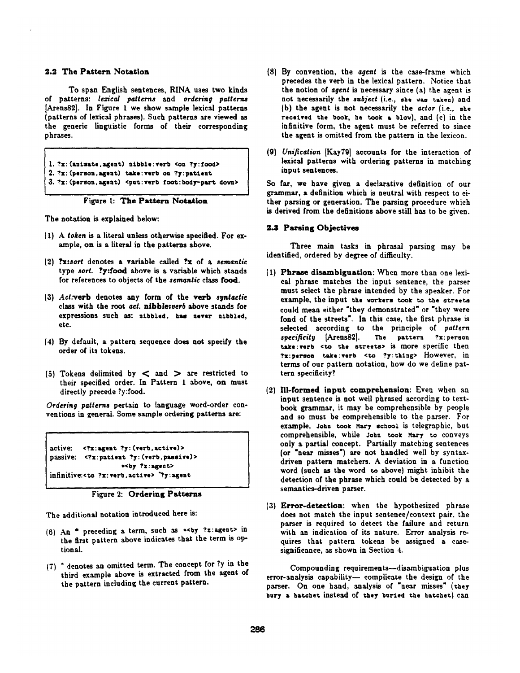# 2.2 The Pattern Notation

To span English sentences, RINA uses two kinds of patterns: *lezical patterns* and *ordering patterns*  [Arens82]. In Figure I we show sample lexical patterns (patterns of lexical phrases). Such patterns are viewed as the generic linguistic forms of their corresponding phrases.

```
l. ?x: (animate, agent) nibble:verb <on ?y: food>
2. ?x: (person, agent) take: verb on ?y: patient
3. ?x: (person, agent) <put: verb foot: body-part down>
```
# Figure 1: The Pattern Notation

The notation is explained below:

- (t) A *token* is a literal unless otherwise specified. For example, on is a literal in the patterns above.
- (2) **?x:sort** denotes a variable called **?x** of a *semantic* type *sort.* ?y:food above is a variable which stands for references to objects of the *semantic* class food.
- (3) Act.verb denotes any form of the verb syntactic class with the root *act.* nibble:vet6 above stands for expressions such as: nibbled, has never nibbled, etc.
- (4) By default, a pattern sequence does not specify the order of its tokens.
- (5) Tokens delimited by  $\lt$  and  $\gt$  are restricted to their specified order. In Pattern I above, on must directly precede ?y:food.

*Ordering patterns* pertain to language word-order conventions in general. Some sample ordering patterns are:

active: <?x:agent ?y: (verb.active)> passive: <?x:patient ?y: (verb.passive)> \*<by ?Z : agent> infinitive:<to ?x: verb. active> '?y: agent

Figure 2: Ordering Patterns

The additional notation introduced here is:

- (6) An \* preceding a term, such as \*< by ?z:agent> in the first pattern above indicates that the term is optional.
- (7) \* denotes an omitted term. The concept for Ty in the third example above is extracted from the agent of the pattern including the current pattern.
- **(8)** By convention, the *agent is* the case-frame which precedes the verb in the lexical pattern. Notice that the notion of *agent is* necessary since (a) the agent is not necessarily the *subject* (i.e., she vas taken) and {b) the agent is not necessarily the *actor* {i.e., she received the book, he took a blow), and  $(c)$  in the infinitive form, the agent must be referred to since the agent is omitted from the pattern in the lexicon.
- (9) *Uni/ieation* [Kay79] accounts for the interaction of lexical patterns with ordering patterns in matching input sentences.

So far, we have given a declarative definition of our grammar, a definition which is neutral with respect to either parsing or generation. The parsing procedure which is derived from the definitions above still has to be given.

### **2.3 Parsing Objectives**

Three main tasks in phrasal parsing may be identified, ordered by degree of difficulty.

- (1) Phrase dlaambiguation: When more than one lexicat phrase matches the input sentence, the parser must select the phrase intended by the speaker. For example, the input the vorkers took to the streets could mean either "they demonstrated" or "they were fond of the streets'. In this case, the first phrase is selected according to the principle of *pattern*  specificity [Arens82]. The pattern ?x: person take: verb <to the streets> is more specific then ?x:person take:verb <to ?y:thing> However, in terms of our pattern notation, how do we define pattern specificity?
- **{2)** Ill-formed input comprehension: Even when an input sentence is not well phrased according to textbook grammar, it may be comprehensible by people and so must be comprehensible to the parser. For example, John took Nary school is telegraphic, but comprehensible, while John took Mary to conveys only a partial concept. Partially matching sentences (or "near misses') are not handled well by syntaxdriven pattern matehers. A deviation in a function word (such as the word to above) might inhibit the detection of the phrase which could be detected by a semantics-driven parser.
- **(3)** Error-detection: when the hypothesized phrase does not match the input sentence/context pair, the parser is required to detect the failure and return with an indication of its nature. Error analysis requires that pattern tokens be assigned a casesignificance, as shown in Section 4.

Compounding requirements--disambiguation plus  $error-analysis capability$  - complicate the design of the parser. On one hand, analysis of "near misses" (they bury a hatchet instead of they buried the hatchet) can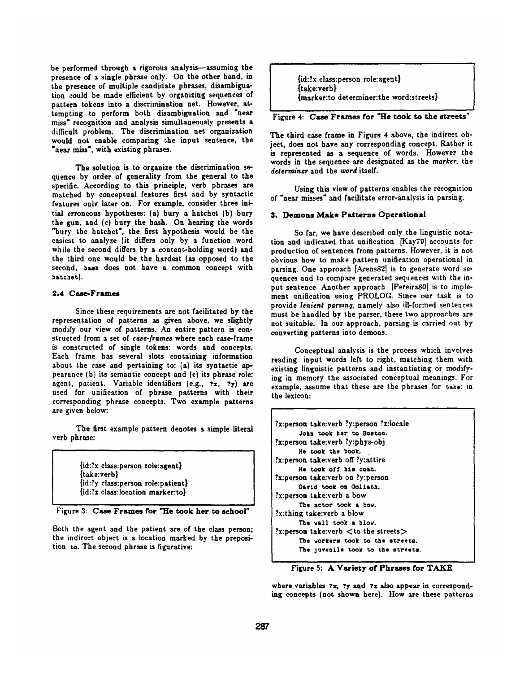be performed through a rigorous analysis-assuming the presence of a single phrase only. On the other hand, in the presence of multiple candidate phrases, disambiguafinn could be made efficient by organizing sequences of pattern tokens into a discrimination net. However, attempting to perform both disambiguation and "near miss" recognition and analysis simultaneously presents a difficult problem. The discrimination net organization would not enable comparing the input sentence, the "near miss", with existing phrases.

The solution is to organize the discrimination sequence by order of generality from the general to the specific. According to this principle, verb phrases are matched by conceptual features first and by syntactic features only later on. For example, consider three initial erroneous hypotheses: (a) bury a hatchet (b) bury the gun, and (c) bury the hash. On hearing the words "bury the hatchet', the first hypothesis would be the easiest to analyze (it differs only by a function word while the second differs by a content-holding word) and the third one would be the hardest (as opposed to the second, hash does not have a common concept with hatchet).

# 2.4 Case-Frames

Since these requirements are not facilitated by the representation of patterns as given above, we slightly modify our view of patterns. An entire pattern is constructed from a set of *case-/tames* where each case-frame is constructed of single tokens: words and concepts. Each frame has several slots containing information about the case and pertaining to: (a) its syntactic appearance (b) its semantic concept and (c) its phrase role: agent, patient. Variable identifiers (e.g.,  $?x$ .  $?y$ ) are used for unification of phrase patterns with their corresponding phrase concepts. Two example patterns are given below:

The first example pattern denotes a simple literal verb phrase:

> {id:?x class:person role:agent} (take:verb) (id:?y class:person role:patient} {id:?z class:location marker:to}

Figure 3: Case Frames for "He took her to school"

Both the agent and the patient are of the class person; the indirect object is a location marked by the preposition to. The second phrase is figurative:

{id:?x class:person role:agent) {take:verb} (marker:to determiner:the word:streets}

Figure 4: Case Frames for "He took to the streets

The third case frame in Figure 4 above, the indirect object, does not have any corresponding concept. Rather it is represented as a sequence of words. However the words in the sequence are designated as the *marker,* the *determiner* and the *word* itself.

Using this view of patterns enables the recognition of "near misses" and facilitate error-analysis in parsing.

### **3. Demons Make Patterns Operational**

So far, we have described only the linguistic notation and indicated that unification [Kay79] accounts for production of sentences from patterns. However, it is not obvious how to make pattern unification operational in parsing. One approach [Arens82] is to generate word sequences and to compare generated sequences with the input sentence. Another approach [Pereira80] is to implement unification using PROLOG. Since our task is to provide *lenient parsing,* namely also ill-formed sentences must be handled by the parser, these two approaches are not suitable. In our approach, parsing is carried out by converting patterns into demons.

Conceptual analysis is the process which involves reading input words left to right, matching them with existing linguistic patterns and instantiating or modifying in memory the associated conceptual meanings. For example, assume that these are the phrases for take: in the lexicon:

| ?x:person take:verb ?y:person ?z:locale      |
|----------------------------------------------|
| John took her to Boston.                     |
| x:person take:verb ?y:phys-obj?              |
| He took the book.                            |
| x:person take:verb off ?y:attire?            |
| He took off his coat.                        |
| x:person take:verb on ?y:person?             |
| David took on Goliath.                       |
| x:person take:verb a bow?                    |
| The actor took a bow.                        |
| ?x:thing take:verb a blow                    |
| The vall took a blow.                        |
| ?x:person take:verb $\lt$ to the streets $>$ |
| The workers took to the streets.             |
| The juvenile took to the streets.            |

Figure 5: A Variety of Phrases for TAKE

where variables  $x$ ,  $y$  and  $z$  also appear in corresponding concepts (not shown here). How are these patterns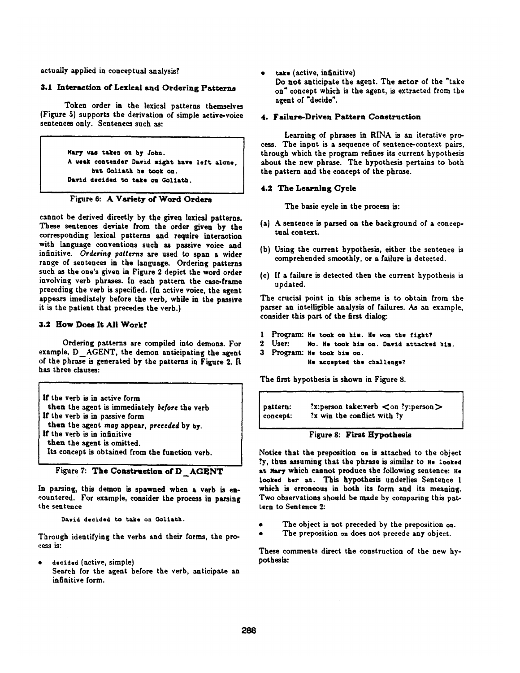actually applied in conceptual analysis?

# 3.1 Interaction of Lexical and Ordering Patterns

Token order in the lexical patterns themselves (Figure 5) supports the derivation of simple active-voice sentences only. Sentences such as:

> Mary was taken on by John. A weak contender David might have left alone. but Goliath he took on. David decided to take on Goliath.

Figure 6: A Variety of Word Orders

cannot be derived directly by the given lexical patterns. These sentences deviate from the order given by the corresponding lexical patterns and require interaction with language conventions such as passive voice and infinitive. *Ordering patterns are* used to span a wider range of sentences in the language. Ordering patterns such as the one's given in Figure 2 depict the word order involving verb phrases. In each pattern the case-frame preceding the verb is specified. (In active voice, the agent appears imediately before the verb, while in the passive it is the patient that precedes the verb.)

# **3.2 How Does It All Work?**

Ordering patterns are compiled into demons. For example, D AGENT, the demon anticipating the agent of the phrase is generated by the patterns in Figure 2. It has three clauses:

If the verb is in active form then the agent is immediately *be/ore* the verb If the verb is in passive form then the agent *may* appear, *preceded* by by. If the verb is in infinitive then the agent is omitted. Its concept is obtained from the function verb.



In parsing, this demon is spawned when a verb is encountered. For example, consider the process in parsing the sentence

Dawid decided to take on Goliath.

Through identifying the verbs and their forms, the process is:

decided (active, simple)  $\bullet$ Search for the agent before the verb, anticipate an infinitive form.

take (active, infinitive)

Do not anticipate the agent. The actor of the "take on" concept which is the agent, is extracted from the agent of "decide'.

## 4. Failure-Driven Pattern Construction

Learning of phrases in RINA is an iterative process. The input is a sequence of sentence-context pairs, through which the program refines its current hypothesis about the new phrase. The hypothesis pertains to both the pattern and the concept of the phrase.

# 4.2 The Learning Cycle

The basic cycle in the process is:

- (a) A sentence is parsed on the background of a conceptual context.
- (b) Using the current hypothesis, either the sentence is comprehended smoothly, or a failure is detected.
- (c) If a failure is detected then the current hypothesis is updated.

The crucial point in this scheme is to obtain from the parser an intelligible analysis of failures. As an example, consider this part of the first dialog:.

- 1 Program: He took on him. He won the fight?
- 2 User: No. He took him on. David attacked him.
- 3 Program: He took him on. He accepted the challenge?

The first hypothesis is shown in Figure 8.

pattern: concept: ?x:person take:verb  $\langle$  on ?y:person  $\rangle$ ?x win the conflict with ?y

# Figure 8: First Hypothesis

Notice that the preposition on is attached to the object ?y, thus assuming that the phrase is similar to He looked at Mary which cannot produce the following sentence: He looked her at. This hypothesis underlies Sentence 1 which is erroneous in both its form and its meaning. Two observations should be made by comparing this pattern to Sentence 2:

- The object is not preceded by the preposition on.
- The preposition on does not precede any object.

**These comments direct the construction of the new hypothesis:**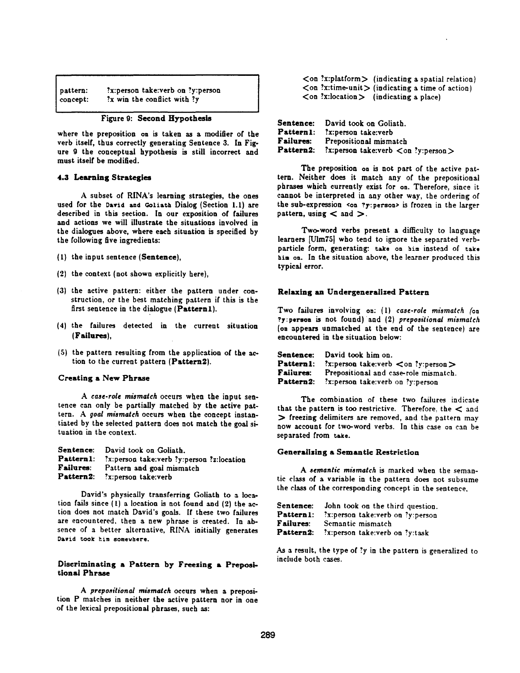| pattern: | ?x:person take:verb on ?y:person |
|----------|----------------------------------|
| concept: | $x$ win the conflict with $y$    |

|  |  |  | Figure 9: Second Hypothesis |  |
|--|--|--|-----------------------------|--|
|--|--|--|-----------------------------|--|

where the preposition on is taken as a modifier of the verb itself, thus correctly generating Sentence 3. In Figure 9 the conceptual hypothesis is still incorrect and must itself be modified.

### 4.3 Learning Strategies

A subset of RINA's learning strategies, the ones used for the David and Goliath Dialog (Section 1.1) are described in this section. In our exposition of failures and actions we will illustrate the situations involved in the dialogues above, where each situation is specified by the following five ingredients:

- (1) the input sentence (Sentence),
- (2) the context (not shown explicitly here),
- (3} the active pattern: either the pattern under construction, or the best matching pattern if this is the first sentence in the dialogue (Patternl).
- (4) the failures detected in the current situation **(Failures),**
- (5) the pattern resulting from the application of the action to the current pattern (Pattern2).

#### Creating a New Phrase

*A case.role mismatch* occurs when the input sentence can only be partially matched by the active pattern. A *9oal mismatch* occurs when the concept instantinted by the selected pattern does not match the goal situation in the context.

|                  | Sentence: David took on Goliath.          |
|------------------|-------------------------------------------|
| Pattern1:        | ?x:person take:verb ?y:person ?z:location |
| <b>Failures:</b> | Pattern and goal mismatch                 |
|                  | Pattern2: ?x:person take:verb             |

David's physically transferring Goliath to a location fails since {1) a location is not found and (2) the action does not match David's goals. If these two failures are encountered, then a new phrase is created. In absence of a better alternative, RINA initially generates David Cook him somevhere.

# Discriminating a Pattern by Freezing a Prepositional Phrase

A prepositional mismatch occurs when a preposition P matches in neither the active pattern nor in one of the lexical prepositional phrases, such as:

 $\langle$ on ?x:platform $\rangle$  (indicating a spatial relation)  $\langle$  on ?x:time-unit  $\rangle$  (indicating a time of action)  $\langle$  on ?x:location  $\rangle$  (indicating a place)

| <b>Sentence:</b> | David took on Goliath.                     |
|------------------|--------------------------------------------|
| Pattern1:        | x:person take:verb?                        |
| Failures:        | Prepositional mismatch                     |
| <b>Pattern2:</b> | ?x:person take:verb <on ?y:person=""></on> |

The preposition on is not part of the active pattern. Neither does it match any of the prepositional phrases which currently exist for on. Therefore, since it cannot be interpreted in any other way, the ordering of the sub-expression <on ?y,:peraoa> is frozen in the larger pattern, using  $<$  and  $>$ .

Two-word verbs present a difficulty to language learners [Ulm75] who tend to ignore the separated verbparticle form, generating: take on him instead of cake him on. In the situation above, the learner produced this typical error.

### **Relaxing an Undergeneralized Pattern**

Two failures involving on: (1) *case-role mismatch* (on ?y:person is not found) and (2) prepositional mismatch (on appears unmatched at the end of the sentence) are encountered in the situation below:

|                  | Sentence: David took him on.                         |
|------------------|------------------------------------------------------|
| <b>Pattern1:</b> | ?x:person take:verb $\langle$ on ?y:person $\rangle$ |
| <b>Failures:</b> | Prepositional and case-role mismatch.                |
| Pattern2:        | ?x:person take:verb on ?y:person                     |

The combination of these two failures indicate that the pattern is too restrictive. Therefore, the  $\langle$  and  $\sum$  freezing delimiters are removed, and the pattern may now account for two-word verbs. In this case on can be separated from take.

### Generaiising a Semantic Restriction

*A semantic mismatch* is marked when the semantic class of a variable in the pattern does not subsume the class of the corresponding concept in the sentence.

| <b>Sentence:</b> | John took on the third question. |
|------------------|----------------------------------|
| Pattern1:        | ?x:person take:verb on ?y:person |
| Failures:        | Semantic mismatch                |
| Pattern2:        | ?x:person take:verb on ?y:task   |

As a result, the type of ?y in the pattern is generalized to include both cases.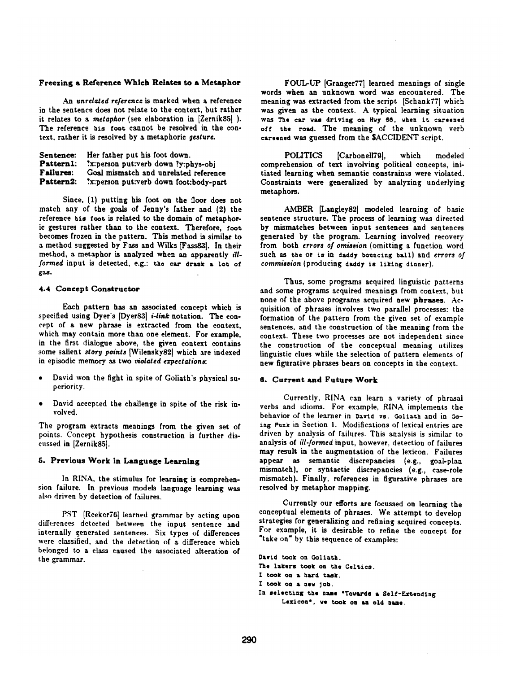### **Freezing a Reference Which Relates to a Metaphor**

*An unrelated reference is* marked when a reference in the sentence does not relate to the context, but rather it relates to a *metaphor* (see elaboration in [Zernik85] ). The reference his fooc cannot be resolved in the context, rather it is resolved by a metaphoric *gesture.* 

| Sentence: | Her father put his foot down.          |
|-----------|----------------------------------------|
| Pattern1: | ?x:person put:verb down ?y:phys-obj    |
| Failures: | Goal mismatch and unrelated reference  |
| Pattern2: | ?x:person put:verb down foot:body-part |

Since, (I) putting his foot on the floor does not match any of the goals of Jenny's father and (2) the reference his foot is related to the domain of metaphoric gestures rather than to the context. Therefore, foot becomes frozen in the pattern. This method is similar to a method suggested by Fass and Wilks [Fass83]. In their method, a metaphor is analyzed when an apparently *illformed* input is detected, e.g.: the car drank a lot of gas.

# 4.4 Concept Constructor

Each pattern has an associated concept which is specified using Dyer's [Dyer83] *i-link* notation. The concept of a new phrase is extracted from the context, which may contain more than one element. For example, in the first dialogue above, the given context contains some salient *story points* [Wilensky82] which are indexed in episodic memory as two *violated expectations:* 

- David won the fight in spite of Goliath's physical superiority.
- David accepted the challenge in spite of the risk involved.

The program extracts meanings from the given set of points. Concept hypothesis construction is further discussed in [Zernik85].

# **5. Previous Work in Language Learning**

In RINA, the stimulus for learning is comprehension failure. In previous models language learning was also driven by detection of failures.

PST [Reeker76] learned grammar by acting upon dilfercnces detected between the input sentence and internally generated sentences. Six types of differences were classified, and the detection of a difference which belonged to a class caused the associated alteration of the grammar.

FOUL-UP [Granger771 learned meanings of single words when an unknown word was encountered. The meaning was extracted from the script [Schank77] which was given as the context. A typical learning situation was The car was driving on Hwy 66, when it careened off the road. The meaning of the unknown verb careened was guessed from the SACCIDENT script.

POLITICS [Carbonell79], which modeled comprehension of text involving political concepts, initiated learning when semantic constraints were violated. Constraints were generalized by analyzing underlying metaphors.

AMBER [Langley82] modeled learning of basic sentence structure. The process of learning was directed by mismatches between input sentences and sentences generated by the program. Learning involved recovery from both *errors of omission* (omitting a function word such as the or is in daddy bouncing ball) and *errors of commission* (producing daddy is liking dinner).

Thus, some programs acquired linguistic patterns and some programs acquired meanings from context, but none of the above programs acquired new phrases. Acquisition of phrases involves two parallel processes: the formation of the pattern from the given set of example sentences, and the construction of the meaning from the context. These two processes are not independent since the construction of the conceptual meaning utilizes linguistic clues while the selection of pattern elements of new figurative phrases bears on concepts in the context.

# 6. Current and Future Work

Currently, RINA can learn a variety of phrasal verbs and idioms. For example, RINA implements the behavior of the learner in David vs. Goliath and in Going Punk in Section 1. Modifications of lexical entries are driven by analysis of failures. This analysis is similar to analysis of *ill-formed* input, however, detection of failures **may** result in the augmentation of the lexicon. Failures appear as semantic discrepancies (e.g., goal-plan mismatch}, or syntactic discrepancies (e.g., case-role mismatch). Finally, references in figurative phrases are resolved by metaphor mapping.

Currently our efforts are focussed on learning the conceptual elements of phrases. We attempt to develop strategies for generalizing and refining acquired concepts. For example, it is desirable to refine the concept for "take on" by this sequence of examples:

**David** toak on Goliath. The lakers took on the Celtics. I took on a hard task. I took on a new job.

In selecting the name **\*Tovards** a Self-Extending Lexicon<sup>e</sup>, we took on an old name.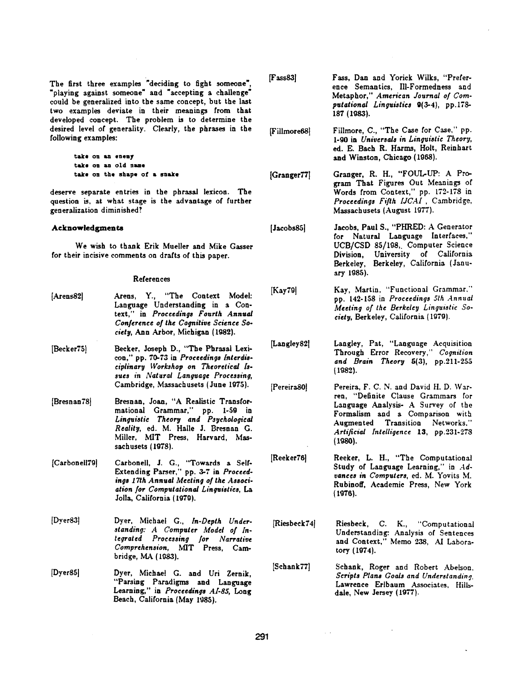The first three examples "deciding to fight someone', "playing against someone" and "accepting a challenge" could be generalized into the same concept, but the last two examples deviate in their meanings from that developed concept. The problem is to determine the desired level of generality. Clearly, the phrases in the following examples:

> **~sdce on am enemy Lake os an old name ~a~e on the shape of a essdce**

deserve separate entries in the phrasal lexicon. The question is, at what stage is the advantage of further generalization diminished?

### **Acknowledgments**

We wish to thank Erik Mueller and Mike Gasser for their incisive comments on drafts of this paper.

#### References

| [Arens82]     | Arens, Y., "The Context Model:<br>Language Understanding in a Con-<br>text," in Proceedings Fourth Annual<br>Conference of the Cognitive Science So-<br>ciety, Ann Arbor, Michigan (1982).                     |
|---------------|----------------------------------------------------------------------------------------------------------------------------------------------------------------------------------------------------------------|
| [Becker75]    | Becker, Joseph D., "The Phrasal Lexi-<br>con," pp. 70-73 in Proceedings Interdis-<br>ciplinary Workshop on Theoretical Is-<br>sues in Natural Language Processing,<br>Cambridge, Massachusets (June 1975).     |
| [Bresnan78]   | Bresnan, Joan, "A Realistic Transfor-<br>mational Grammar," pp. 1-59 in<br>Linguistic Theory and Psychological<br>Reality, ed. M. Halle J. Bresnan G.<br>Miller, MIT Press, Harvard, Mas-<br>sachusets (1978). |
| [Carbonell79] | Carbonell, J. G., "Towards a Self-<br>Extending Parser," pp. 3-7 in Proceed-<br>ings 17th Annual Meeting of the Associ-<br>ation for Computational Linguistics, La<br>Jolla, California (1979).                |
| [Dyer83]      | Dyer, Michael G., In-Depth Under-<br>standing: A Computer Model of In-<br>tegrated Processing for Narrative<br>Comprehension, MIT Press, Cam-<br>bridge, MA (1983).                                            |
| Dyer85        | Dyer, Michael G. and Uri Zernik,<br>"Parsing Paradigms and Language<br>Learning," in Proceedings Al-85, Long<br>Beach, California (May 1985).                                                                  |

| [Fass83] | Fass, Dan and Yorick Wilks, "Prefer-<br>ence Semantics, Ill-Formedness and<br>Metaphor," American Journal of Com-<br>putational Linguistics 9(3-4), pp.178-<br>187 (1983). |
|----------|----------------------------------------------------------------------------------------------------------------------------------------------------------------------------|
|          |                                                                                                                                                                            |

[Fillmore681 Fillmore, C., "The Case for Case," pp. l-g0 in *Universals in Linguistic Theory,*  ed. E. Bach R. Harms, Holt, Reinhart and Winston, Chicago (1988).

[Granger77] Granger, R. H., "FOUL-UP: A Program That Figures Out Meanings of Words from Context," pp. 172-178 in *Proceedings Fifth [JCAI,* Cambridge, Massachusets (August 1977).

[Jacobs85] Jaeobs, Paul S., "PHRED: A Generator for Natural Language Interfaces," UCB/CSD 85/108,. Computer Science Division, University of California Berkeley, Berkeley, California (January 1985).

[Kay79] Kay, Martin, "Functional Grammar." pp. 142-158 in *Proceedings 5th Annual Meeting of the Berkeley Linguistic Society,* Berkeley, California (1979).

[Langley82] Langley, Pat, "Language Acquisition Through Error Recovery," *Cognition*  and *Brain Theory*  $5(3)$ , pp.211-255 {I082).

[PereiraS01 Pereira, F. C. N. and David H. D. Warren, "Definite Clause Grammars for Language Analysis- A Survey of the Formalism and a Comparison with Augmented Transition Networks." *Artificial Intelligence* 13, pp.231-278  $(1980).$ 

[Reeker76] Reeker, L. H., "The Computational Study of Language Learning," in Ad*vances in Computers,* ed. M. Yovits M. Rubinoff, Academic Press, New York **(1976).** 

[Riesbeck74[ Riesbeck, C. K., "Computational Understanding: Analysis of Sentences and Context," Memo 238, AI Laboratory (1974).

[Schank77] Schank, Roger and Robert Abelson, *Scripts Plans Goals and Understanding,*  Lawrence Erlbaum Associates, Hillsdale, New Jersey (1977).